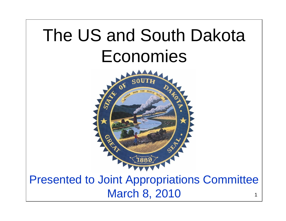# The US and South Dakota Economies



1Presented to Joint Appropriations Committee March 8, 2010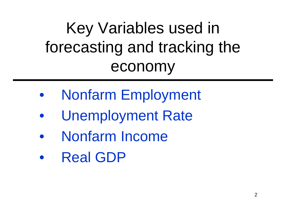## Key Variables used in forecasting and tracking the economy

- Nonfarm Employment
- Unemployment Rate
- Nonfarm Income
- Real GDP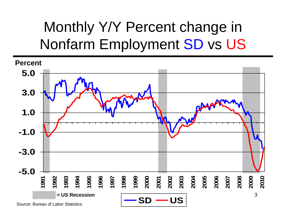## Monthly Y/Y Percent change in Nonfarm Employment SD vs US

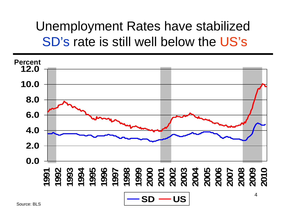#### Unemployment Rates have stabilized SD's rate is still well below the US's



Source: BLS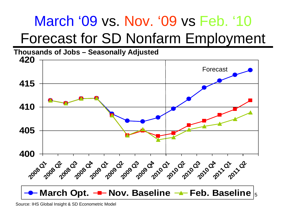## March '09 vs. Nov. '09 vs Feb. '10 Forecast for SD Nonfarm Employment

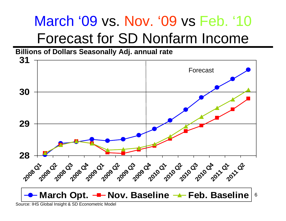#### March '09 vs. Nov. '09 vs Feb. '10 Forecast for SD Nonfarm Income





Source: IHS Global Insight & SD Econometric Model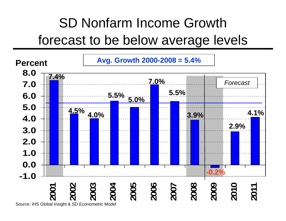#### SD Nonfarm Income Growth forecast to be below average levels

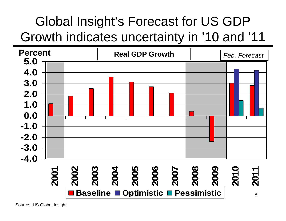#### Global Insight's Forecast for US GDP Growth indicates uncertainty in '10 and '11